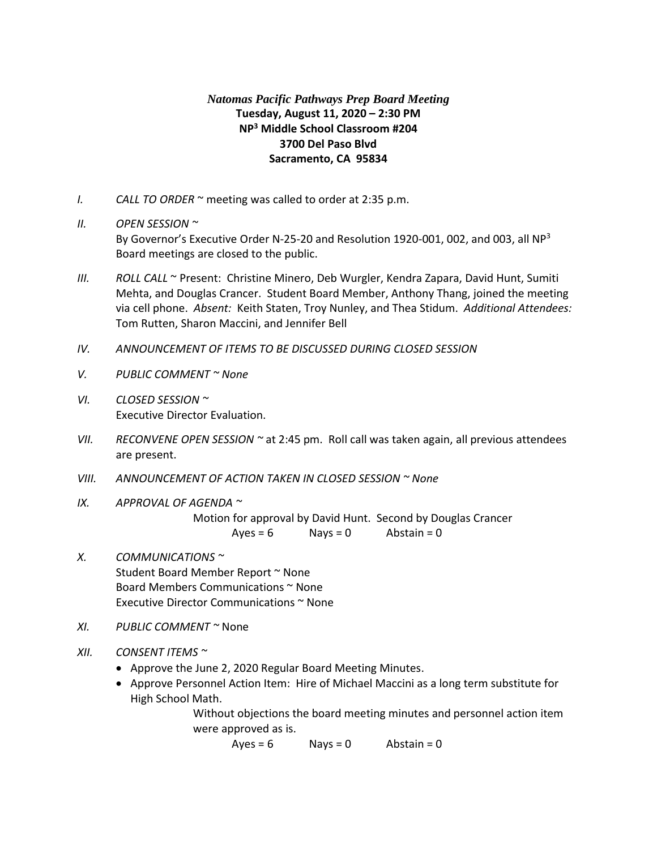## *Natomas Pacific Pathways Prep Board Meeting* **Tuesday, August 11, 2020 – 2:30 PM NP<sup>3</sup> Middle School Classroom #204 3700 Del Paso Blvd Sacramento, CA 95834**

- *I. CALL TO ORDER* ~ meeting was called to order at 2:35 p.m.
- *II. OPEN SESSION ~*

By Governor's Executive Order N-25-20 and Resolution 1920-001, 002, and 003, all NP<sup>3</sup> Board meetings are closed to the public.

- *III. ROLL CALL* ~ Present: Christine Minero, Deb Wurgler, Kendra Zapara, David Hunt, Sumiti Mehta, and Douglas Crancer. Student Board Member, Anthony Thang, joined the meeting via cell phone. *Absent:* Keith Staten, Troy Nunley, and Thea Stidum. *Additional Attendees:* Tom Rutten, Sharon Maccini, and Jennifer Bell
- *IV. ANNOUNCEMENT OF ITEMS TO BE DISCUSSED DURING CLOSED SESSION*
- *V. PUBLIC COMMENT ~ None*
- *VI. CLOSED SESSION ~* Executive Director Evaluation.
- *VII. RECONVENE OPEN SESSION ~* at 2:45 pm. Roll call was taken again, all previous attendees are present.
- *VIII. ANNOUNCEMENT OF ACTION TAKEN IN CLOSED SESSION ~ None*
- *IX. APPROVAL OF AGENDA ~*

Motion for approval by David Hunt. Second by Douglas Crancer  $Ayes = 6$  Nays = 0 Abstain = 0

- *X. COMMUNICATIONS ~* Student Board Member Report ~ None Board Members Communications ~ None Executive Director Communications ~ None
- *XI. PUBLIC COMMENT ~* None
- *XII. CONSENT ITEMS ~*
	- Approve the June 2, 2020 Regular Board Meeting Minutes.
	- Approve Personnel Action Item: Hire of Michael Maccini as a long term substitute for High School Math.

Without objections the board meeting minutes and personnel action item were approved as is.

 $Ayes = 6$  Nays = 0 Abstain = 0